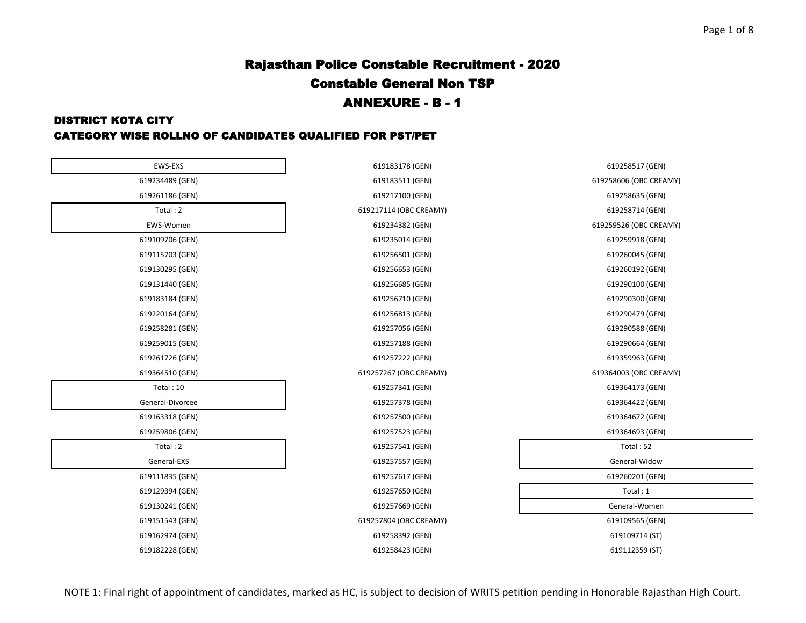#### DISTRICT KOTA CITY

#### CATEGORY WISE ROLLNO OF CANDIDATES QUALIFIED FOR PST/PET

| EWS-EXS          | 619183178 (GEN)        | 619258517 (GEN)        |
|------------------|------------------------|------------------------|
| 619234489 (GEN)  | 619183511 (GEN)        | 619258606 (OBC CREAMY) |
| 619261186 (GEN)  | 619217100 (GEN)        | 619258635 (GEN)        |
| Total: 2         | 619217114 (OBC CREAMY) | 619258714 (GEN)        |
| EWS-Women        | 619234382 (GEN)        | 619259526 (OBC CREAMY) |
| 619109706 (GEN)  | 619235014 (GEN)        | 619259918 (GEN)        |
| 619115703 (GEN)  | 619256501 (GEN)        | 619260045 (GEN)        |
| 619130295 (GEN)  | 619256653 (GEN)        | 619260192 (GEN)        |
| 619131440 (GEN)  | 619256685 (GEN)        | 619290100 (GEN)        |
| 619183184 (GEN)  | 619256710 (GEN)        | 619290300 (GEN)        |
| 619220164 (GEN)  | 619256813 (GEN)        | 619290479 (GEN)        |
| 619258281 (GEN)  | 619257056 (GEN)        | 619290588 (GEN)        |
| 619259015 (GEN)  | 619257188 (GEN)        | 619290664 (GEN)        |
| 619261726 (GEN)  | 619257222 (GEN)        | 619359963 (GEN)        |
| 619364510 (GEN)  | 619257267 (OBC CREAMY) | 619364003 (OBC CREAMY) |
| Total: 10        | 619257341 (GEN)        | 619364173 (GEN)        |
| General-Divorcee | 619257378 (GEN)        | 619364422 (GEN)        |
| 619163318 (GEN)  | 619257500 (GEN)        | 619364672 (GEN)        |
| 619259806 (GEN)  | 619257523 (GEN)        | 619364693 (GEN)        |
| Total: 2         | 619257541 (GEN)        | Total: 52              |
| General-EXS      | 619257557 (GEN)        | General-Widow          |
| 619111835 (GEN)  | 619257617 (GEN)        | 619260201 (GEN)        |
| 619129394 (GEN)  | 619257650 (GEN)        | Total: 1               |
| 619130241 (GEN)  | 619257669 (GEN)        | General-Women          |
| 619151543 (GEN)  | 619257804 (OBC CREAMY) | 619109565 (GEN)        |
| 619162974 (GEN)  | 619258392 (GEN)        | 619109714 (ST)         |
| 619182228 (GEN)  | 619258423 (GEN)        | 619112359 (ST)         |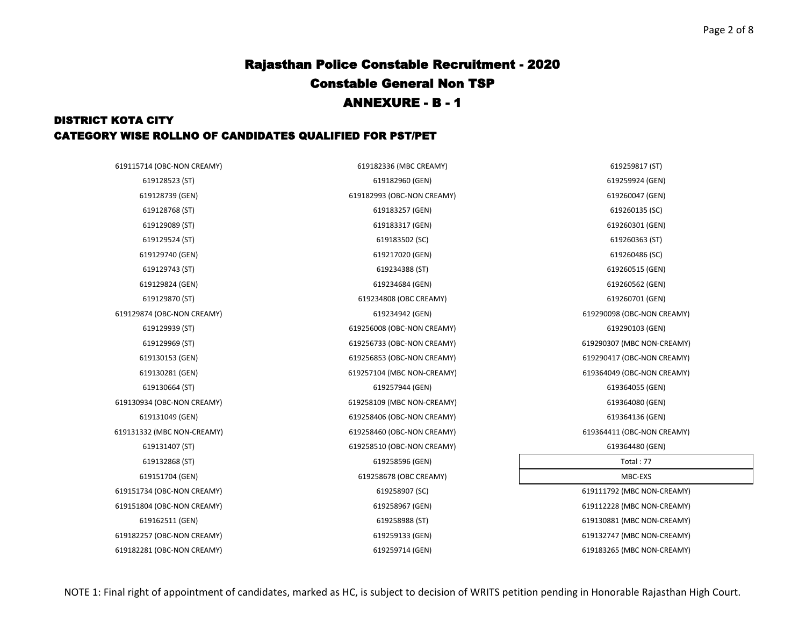| 619115714 (OBC-NON CREAMY) | 619182336 (MBC CREAMY)     | 619259817 (ST)             |
|----------------------------|----------------------------|----------------------------|
| 619128523 (ST)             | 619182960 (GEN)            | 619259924 (GEN)            |
| 619128739 (GEN)            | 619182993 (OBC-NON CREAMY) | 619260047 (GEN)            |
| 619128768 (ST)             | 619183257 (GEN)            | 619260135 (SC)             |
| 619129089 (ST)             | 619183317 (GEN)            | 619260301 (GEN)            |
| 619129524 (ST)             | 619183502 (SC)             | 619260363 (ST)             |
| 619129740 (GEN)            | 619217020 (GEN)            | 619260486 (SC)             |
| 619129743 (ST)             | 619234388 (ST)             | 619260515 (GEN)            |
| 619129824 (GEN)            | 619234684 (GEN)            | 619260562 (GEN)            |
| 619129870 (ST)             | 619234808 (OBC CREAMY)     | 619260701 (GEN)            |
| 619129874 (OBC-NON CREAMY) | 619234942 (GEN)            | 619290098 (OBC-NON CREAMY) |
| 619129939 (ST)             | 619256008 (OBC-NON CREAMY) | 619290103 (GEN)            |
| 619129969 (ST)             | 619256733 (OBC-NON CREAMY) | 619290307 (MBC NON-CREAMY) |
| 619130153 (GEN)            | 619256853 (OBC-NON CREAMY) | 619290417 (OBC-NON CREAMY) |
| 619130281 (GEN)            | 619257104 (MBC NON-CREAMY) | 619364049 (OBC-NON CREAMY) |
| 619130664 (ST)             | 619257944 (GEN)            | 619364055 (GEN)            |
| 619130934 (OBC-NON CREAMY) | 619258109 (MBC NON-CREAMY) | 619364080 (GEN)            |
| 619131049 (GEN)            | 619258406 (OBC-NON CREAMY) | 619364136 (GEN)            |
| 619131332 (MBC NON-CREAMY) | 619258460 (OBC-NON CREAMY) | 619364411 (OBC-NON CREAMY) |
| 619131407 (ST)             | 619258510 (OBC-NON CREAMY) | 619364480 (GEN)            |
| 619132868 (ST)             | 619258596 (GEN)            | Total: 77                  |
| 619151704 (GEN)            | 619258678 (OBC CREAMY)     | MBC-EXS                    |
| 619151734 (OBC-NON CREAMY) | 619258907 (SC)             | 619111792 (MBC NON-CREAMY) |
| 619151804 (OBC-NON CREAMY) | 619258967 (GEN)            | 619112228 (MBC NON-CREAMY) |
| 619162511 (GEN)            | 619258988 (ST)             | 619130881 (MBC NON-CREAMY) |
| 619182257 (OBC-NON CREAMY) | 619259133 (GEN)            | 619132747 (MBC NON-CREAMY) |
| 619182281 (OBC-NON CREAMY) | 619259714 (GEN)            | 619183265 (MBC NON-CREAMY) |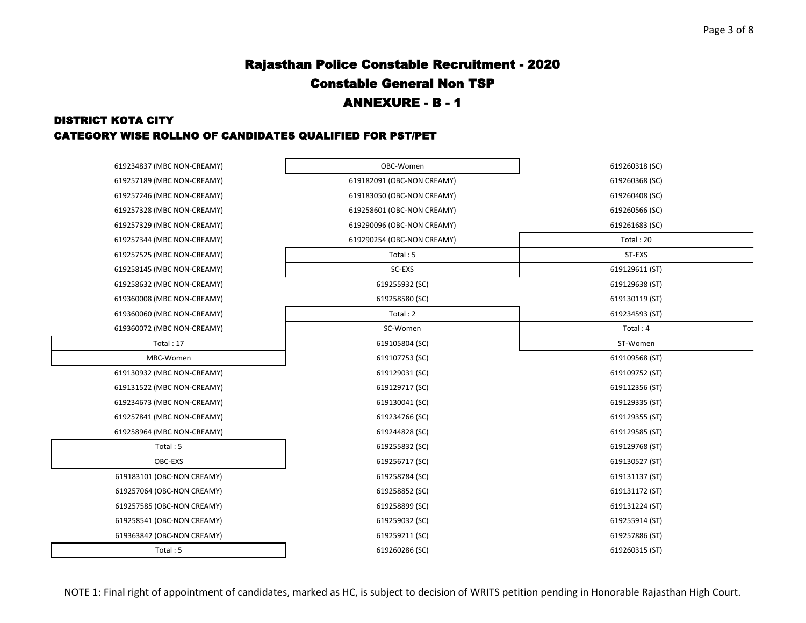| 619234837 (MBC NON-CREAMY) | OBC-Women                  | 619260318 (SC) |
|----------------------------|----------------------------|----------------|
| 619257189 (MBC NON-CREAMY) | 619182091 (OBC-NON CREAMY) | 619260368 (SC) |
| 619257246 (MBC NON-CREAMY) | 619183050 (OBC-NON CREAMY) | 619260408 (SC) |
| 619257328 (MBC NON-CREAMY) | 619258601 (OBC-NON CREAMY) | 619260566 (SC) |
| 619257329 (MBC NON-CREAMY) | 619290096 (OBC-NON CREAMY) | 619261683 (SC) |
| 619257344 (MBC NON-CREAMY) | 619290254 (OBC-NON CREAMY) | Total: 20      |
| 619257525 (MBC NON-CREAMY) | Total: 5                   | ST-EXS         |
| 619258145 (MBC NON-CREAMY) | SC-EXS                     | 619129611 (ST) |
| 619258632 (MBC NON-CREAMY) | 619255932 (SC)             | 619129638 (ST) |
| 619360008 (MBC NON-CREAMY) | 619258580 (SC)             | 619130119 (ST) |
| 619360060 (MBC NON-CREAMY) | Total: 2                   | 619234593 (ST) |
| 619360072 (MBC NON-CREAMY) | SC-Women                   | Total: 4       |
| Total: 17                  | 619105804 (SC)             | ST-Women       |
| MBC-Women                  | 619107753 (SC)             | 619109568 (ST) |
| 619130932 (MBC NON-CREAMY) | 619129031 (SC)             | 619109752 (ST) |
| 619131522 (MBC NON-CREAMY) | 619129717 (SC)             | 619112356 (ST) |
| 619234673 (MBC NON-CREAMY) | 619130041 (SC)             | 619129335 (ST) |
| 619257841 (MBC NON-CREAMY) | 619234766 (SC)             | 619129355 (ST) |
| 619258964 (MBC NON-CREAMY) | 619244828 (SC)             | 619129585 (ST) |
| Total: 5                   | 619255832 (SC)             | 619129768 (ST) |
| OBC-EXS                    | 619256717 (SC)             | 619130527 (ST) |
| 619183101 (OBC-NON CREAMY) | 619258784 (SC)             | 619131137 (ST) |
| 619257064 (OBC-NON CREAMY) | 619258852 (SC)             | 619131172 (ST) |
| 619257585 (OBC-NON CREAMY) | 619258899 (SC)             | 619131224 (ST) |
| 619258541 (OBC-NON CREAMY) | 619259032 (SC)             | 619255914 (ST) |
| 619363842 (OBC-NON CREAMY) | 619259211 (SC)             | 619257886 (ST) |
| Total: 5                   | 619260286 (SC)             | 619260315 (ST) |
|                            |                            |                |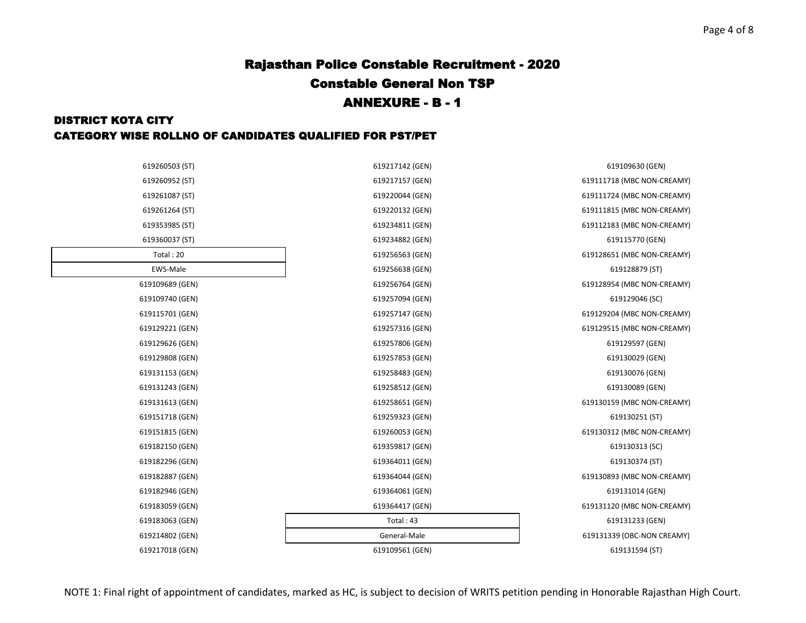| 619260503 (ST)  | 619217142 (GEN) | 619109630 (GEN)            |
|-----------------|-----------------|----------------------------|
| 619260952 (ST)  | 619217157 (GEN) | 619111718 (MBC NON-CREAMY) |
| 619261087 (ST)  | 619220044 (GEN) | 619111724 (MBC NON-CREAMY) |
| 619261264 (ST)  | 619220132 (GEN) | 619111815 (MBC NON-CREAMY) |
| 619353985 (ST)  | 619234811 (GEN) | 619112183 (MBC NON-CREAMY) |
| 619360037 (ST)  | 619234882 (GEN) | 619115770 (GEN)            |
| Total: 20       | 619256563 (GEN) | 619128651 (MBC NON-CREAMY) |
| EWS-Male        | 619256638 (GEN) | 619128879 (ST)             |
| 619109689 (GEN) | 619256764 (GEN) | 619128954 (MBC NON-CREAMY) |
| 619109740 (GEN) | 619257094 (GEN) | 619129046 (SC)             |
| 619115701 (GEN) | 619257147 (GEN) | 619129204 (MBC NON-CREAMY) |
| 619129221 (GEN) | 619257316 (GEN) | 619129515 (MBC NON-CREAMY) |
| 619129626 (GEN) | 619257806 (GEN) | 619129597 (GEN)            |
| 619129808 (GEN) | 619257853 (GEN) | 619130029 (GEN)            |
| 619131153 (GEN) | 619258483 (GEN) | 619130076 (GEN)            |
| 619131243 (GEN) | 619258512 (GEN) | 619130089 (GEN)            |
| 619131613 (GEN) | 619258651 (GEN) | 619130159 (MBC NON-CREAMY) |
| 619151718 (GEN) | 619259323 (GEN) | 619130251 (ST)             |
| 619151815 (GEN) | 619260053 (GEN) | 619130312 (MBC NON-CREAMY) |
| 619182150 (GEN) | 619359817 (GEN) | 619130313 (SC)             |
| 619182296 (GEN) | 619364011 (GEN) | 619130374 (ST)             |
| 619182887 (GEN) | 619364044 (GEN) | 619130893 (MBC NON-CREAMY) |
| 619182946 (GEN) | 619364061 (GEN) | 619131014 (GEN)            |
| 619183059 (GEN) | 619364417 (GEN) | 619131120 (MBC NON-CREAMY) |
| 619183063 (GEN) | Total:43        | 619131233 (GEN)            |
| 619214802 (GEN) | General-Male    | 619131339 (OBC-NON CREAMY) |
| 619217018 (GEN) | 619109561 (GEN) | 619131594 (ST)             |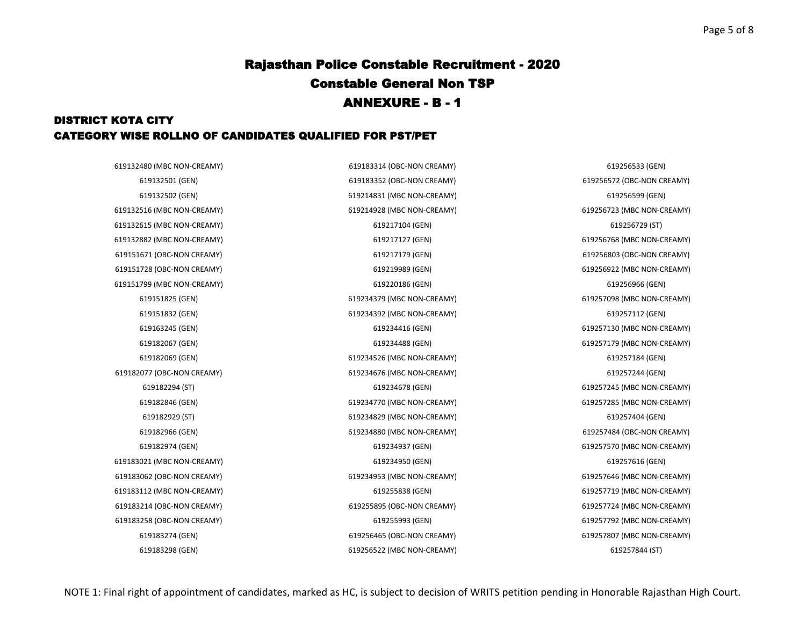### DISTRICT KOTA CITY CATEGORY WISE ROLLNO OF CANDIDATES QUALIFIED FOR PST/PET

619132516 (MBC NON-CREAMY) 619214928 (MBC NON-CREAMY) 619256723 (MBC NON-CREAMY) 619132615 (MBC NON-CREAMY) 619217104 (GEN) 619256729 (ST) 619132882 (MBC NON-CREAMY) 619217127 (GEN) 619256768 (MBC NON-CREAMY) 619151671 (OBC-NON CREAMY) 619217179 (GEN) 619256803 (OBC-NON CREAMY) 619151728 (OBC-NON CREAMY) 619219989 (GEN) 619256922 (MBC NON-CREAMY) 619151799 (MBC NON-CREAMY) 619220186 (GEN) 619256966 (GEN) 619182077 (OBC-NON CREAMY) 619234676 (MBC NON-CREAMY) 619257244 (GEN) 619183021 (MBC NON-CREAMY) 619234950 (GEN) 619257616 (GEN) 619183062 (OBC-NON CREAMY) 619234953 (MBC NON-CREAMY) 619257646 (MBC NON-CREAMY) 619183112 (MBC NON-CREAMY) 619255838 (GEN) 619257719 (MBC NON-CREAMY) 619183214 (OBC-NON CREAMY) 619255895 (OBC-NON CREAMY) 619257724 (MBC NON-CREAMY) 619183258 (OBC-NON CREAMY) 619255993 (GEN) 619257792 (MBC NON-CREAMY)

619132480 (MBC NON-CREAMY) 619183314 (OBC-NON CREAMY) 619256533 (GEN) 619132501 (GEN) 619183352 (OBC-NON CREAMY) 619256572 (OBC-NON CREAMY) 619132502 (GEN) 619214831 (MBC NON-CREAMY) 619256599 (GEN) 619151825 (GEN) 619234379 (MBC NON-CREAMY) 619257098 (MBC NON-CREAMY) 619151832 (GEN) 619234392 (MBC NON-CREAMY) 619257112 (GEN) 619163245 (GEN) 619234416 (GEN) 619257130 (MBC NON-CREAMY) 619182067 (GEN) 619234488 (GEN) 619257179 (MBC NON-CREAMY) 619182069 (GEN) 619234526 (MBC NON-CREAMY) 619257184 (GEN) 619182294 (ST) 619234678 (GEN) 619257245 (MBC NON-CREAMY) 619182846 (GEN) 619234770 (MBC NON-CREAMY) 619257285 (MBC NON-CREAMY) 619182929 (ST) 619234829 (MBC NON-CREAMY) 619257404 (GEN) 619182966 (GEN) 619234880 (MBC NON-CREAMY) 619257484 (OBC-NON CREAMY) 619182974 (GEN) 619234937 (GEN) 619257570 (MBC NON-CREAMY) 619183274 (GEN) 619256465 (OBC-NON CREAMY) 619257807 (MBC NON-CREAMY)

619183298 (GEN) 619256522 (MBC NON-CREAMY) 619257844 (ST)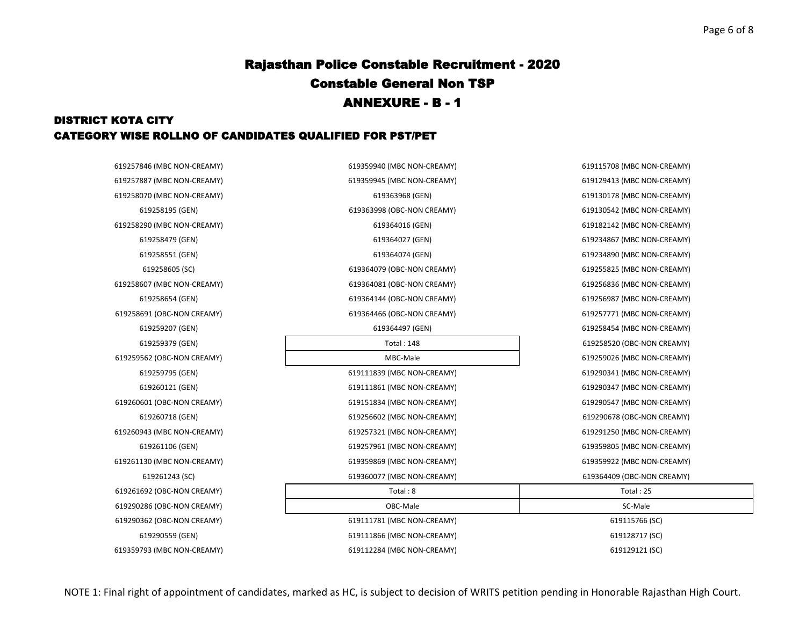### DISTRICT KOTA CITY CATEGORY WISE ROLLNO OF CANDIDATES QUALIFIED FOR PST/PET

619257846 (MBC NON-CREAMY) 619257887 (MBC NON-CREAMY) 619258070 (MBC NON-CREAMY) 619258290 (MBC NON-CREAMY) 619258479 (GEN) 619258551 (GEN) 619258607 (MBC NON-CREAMY) 619258691 (OBC-NON CREAMY) 619259562 (OBC-NON CREAMY) 619260121 (GEN) 619260601 (OBC-NON CREAMY) 619260943 (MBC NON-CREAMY) 619261130 (MBC NON-CREAMY) 619261692 (OBC-NON CREAMY) 619290286 (OBC-NON CREAMY) 619290362 (OBC-NON CREAMY) 619290559 (GEN) 619359793 (MBC NON-CREAMY)

| 846 (MBC NON-CREAMY) | 619359940 (MBC NON-CREAMY) | 619115708 (MBC NON-CREAMY) |
|----------------------|----------------------------|----------------------------|
| 887 (MBC NON-CREAMY) | 619359945 (MBC NON-CREAMY) | 619129413 (MBC NON-CREAMY) |
| 070 (MBC NON-CREAMY) | 619363968 (GEN)            | 619130178 (MBC NON-CREAMY) |
| 619258195 (GEN)      | 619363998 (OBC-NON CREAMY) | 619130542 (MBC NON-CREAMY) |
| 290 (MBC NON-CREAMY) | 619364016 (GEN)            | 619182142 (MBC NON-CREAMY) |
| 619258479 (GEN)      | 619364027 (GEN)            | 619234867 (MBC NON-CREAMY) |
| 619258551 (GEN)      | 619364074 (GEN)            | 619234890 (MBC NON-CREAMY) |
| 619258605 (SC)       | 619364079 (OBC-NON CREAMY) | 619255825 (MBC NON-CREAMY) |
| 607 (MBC NON-CREAMY) | 619364081 (OBC-NON CREAMY) | 619256836 (MBC NON-CREAMY) |
| 619258654 (GEN)      | 619364144 (OBC-NON CREAMY) | 619256987 (MBC NON-CREAMY) |
| 691 (OBC-NON CREAMY) | 619364466 (OBC-NON CREAMY) | 619257771 (MBC NON-CREAMY) |
| 619259207 (GEN)      | 619364497 (GEN)            | 619258454 (MBC NON-CREAMY) |
| 619259379 (GEN)      | <b>Total: 148</b>          | 619258520 (OBC-NON CREAMY) |
| 562 (OBC-NON CREAMY) | MBC-Male                   | 619259026 (MBC NON-CREAMY) |
| 619259795 (GEN)      | 619111839 (MBC NON-CREAMY) | 619290341 (MBC NON-CREAMY) |
| 619260121 (GEN)      | 619111861 (MBC NON-CREAMY) | 619290347 (MBC NON-CREAMY) |
| 601 (OBC-NON CREAMY) | 619151834 (MBC NON-CREAMY) | 619290547 (MBC NON-CREAMY) |
| 619260718 (GEN)      | 619256602 (MBC NON-CREAMY) | 619290678 (OBC-NON CREAMY) |
| 943 (MBC NON-CREAMY) | 619257321 (MBC NON-CREAMY) | 619291250 (MBC NON-CREAMY) |
| 619261106 (GEN)      | 619257961 (MBC NON-CREAMY) | 619359805 (MBC NON-CREAMY) |
| 130 (MBC NON-CREAMY) | 619359869 (MBC NON-CREAMY) | 619359922 (MBC NON-CREAMY) |
| 619261243 (SC)       | 619360077 (MBC NON-CREAMY) | 619364409 (OBC-NON CREAMY) |
| 692 (OBC-NON CREAMY) | Total: 8                   | Total: $25$                |
| 286 (OBC-NON CREAMY) | OBC-Male                   | SC-Male                    |
| 362 (OBC-NON CREAMY) | 619111781 (MBC NON-CREAMY) | 619115766 (SC)             |
| 619290559 (GEN)      | 619111866 (MBC NON-CREAMY) | 619128717 (SC)             |
| 793 (MBC NON-CREAMY) | 619112284 (MBC NON-CREAMY) | 619129121 (SC)             |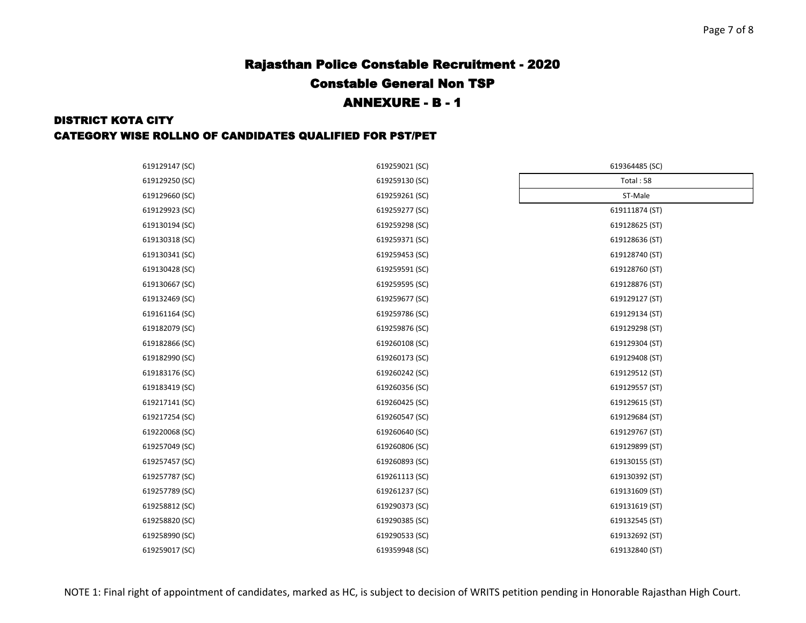| 619129147 (SC) | 619259021 (SC) | 619364485 (SC) |
|----------------|----------------|----------------|
| 619129250 (SC) | 619259130 (SC) | Total: 58      |
| 619129660 (SC) | 619259261 (SC) | ST-Male        |
| 619129923 (SC) | 619259277 (SC) | 619111874 (ST) |
| 619130194 (SC) | 619259298 (SC) | 619128625 (ST) |
| 619130318 (SC) | 619259371 (SC) | 619128636 (ST) |
| 619130341 (SC) | 619259453 (SC) | 619128740 (ST) |
| 619130428 (SC) | 619259591 (SC) | 619128760 (ST) |
| 619130667 (SC) | 619259595 (SC) | 619128876 (ST) |
| 619132469 (SC) | 619259677 (SC) | 619129127 (ST) |
| 619161164 (SC) | 619259786 (SC) | 619129134 (ST) |
| 619182079 (SC) | 619259876 (SC) | 619129298 (ST) |
| 619182866 (SC) | 619260108 (SC) | 619129304 (ST) |
| 619182990 (SC) | 619260173 (SC) | 619129408 (ST) |
| 619183176 (SC) | 619260242 (SC) | 619129512 (ST) |
| 619183419 (SC) | 619260356 (SC) | 619129557 (ST) |
| 619217141 (SC) | 619260425 (SC) | 619129615 (ST) |
| 619217254 (SC) | 619260547 (SC) | 619129684 (ST) |
| 619220068 (SC) | 619260640 (SC) | 619129767 (ST) |
| 619257049 (SC) | 619260806 (SC) | 619129899 (ST) |
| 619257457 (SC) | 619260893 (SC) | 619130155 (ST) |
| 619257787 (SC) | 619261113 (SC) | 619130392 (ST) |
| 619257789 (SC) | 619261237 (SC) | 619131609 (ST) |
| 619258812 (SC) | 619290373 (SC) | 619131619 (ST) |
| 619258820 (SC) | 619290385 (SC) | 619132545 (ST) |
| 619258990 (SC) | 619290533 (SC) | 619132692 (ST) |
| 619259017 (SC) | 619359948 (SC) | 619132840 (ST) |